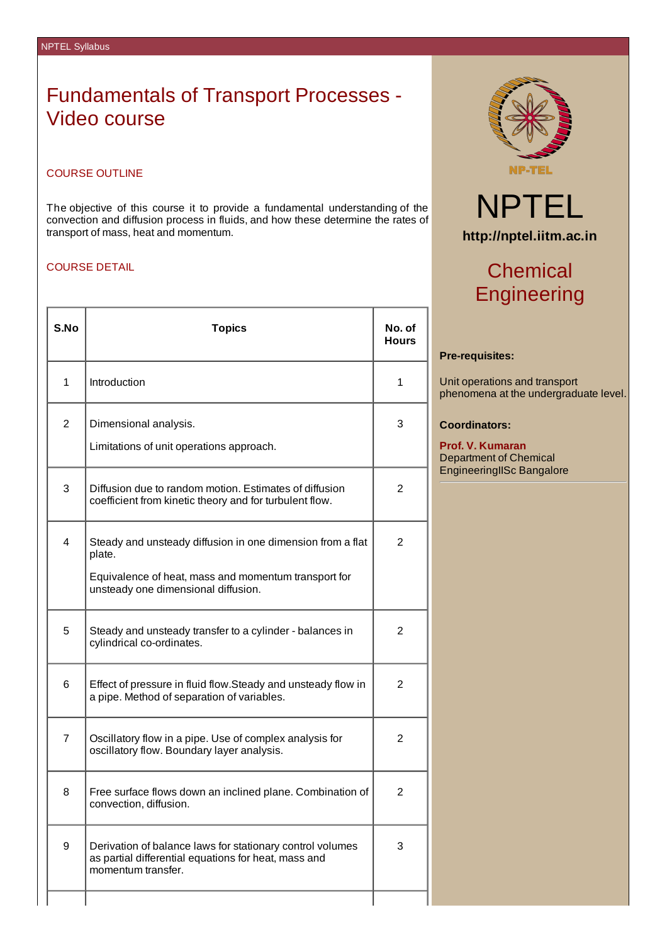### Fundamentals of Transport Processes - Video course

### COURSE OUTLINE

The objective of this course it to provide a fundamental understanding of the convection and diffusion process in fluids, and how these determine the rates of transport of mass, heat and momentum.

### COURSE DETAIL

| S.No         | <b>Topics</b>                                                                                                                                                       | No. of<br>Hours |
|--------------|---------------------------------------------------------------------------------------------------------------------------------------------------------------------|-----------------|
| $\mathbf{1}$ | Introduction                                                                                                                                                        | 1               |
| 2            | Dimensional analysis.<br>Limitations of unit operations approach.                                                                                                   | 3               |
| 3            | Diffusion due to random motion. Estimates of diffusion<br>coefficient from kinetic theory and for turbulent flow.                                                   | 2               |
| 4            | Steady and unsteady diffusion in one dimension from a flat<br>plate.<br>Equivalence of heat, mass and momentum transport for<br>unsteady one dimensional diffusion. | 2               |
| 5            | Steady and unsteady transfer to a cylinder - balances in<br>cylindrical co-ordinates.                                                                               | 2               |
| 6            | Effect of pressure in fluid flow.Steady and unsteady flow in<br>a pipe. Method of separation of variables.                                                          | 2               |
| 7            | Oscillatory flow in a pipe. Use of complex analysis for<br>oscillatory flow. Boundary layer analysis.                                                               | 2               |
| 8            | Free surface flows down an inclined plane. Combination of<br>convection, diffusion.                                                                                 | 2               |
| 9            | Derivation of balance laws for stationary control volumes<br>as partial differential equations for heat, mass and<br>momentum transfer.                             | 3               |
|              |                                                                                                                                                                     |                 |



# NPTEL **http://nptel.iitm.ac.in**

## **Chemical** Engineering

### **Pre-requisites:**

Unit operations and transport phenomena at the undergraduate level.

### **Coordinators:**

**Prof. V. Kumaran** Department of Chemical EngineeringIISc Bangalore